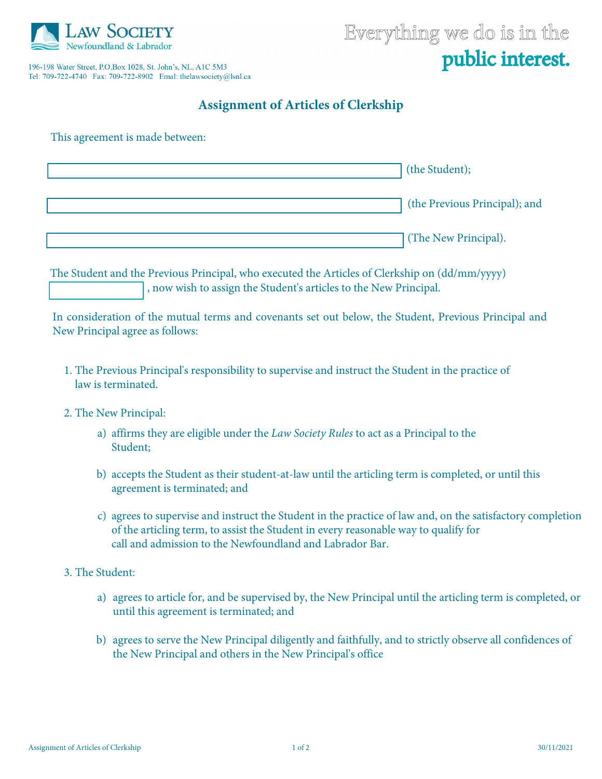

196-198 Water Street, P.O.Box 1028, St. John's, NL, A1C 5M3 

## **Assignment of Articles of Clerkship**

This agreement is made between:

| (the Student);                |
|-------------------------------|
| (the Previous Principal); and |
| (The New Principal).          |

The Student and the Previous Principal, who executed the Articles of Clerkship on (dd/mm/yyyy) , now wish to assign the Student's articles to the New Principal.

In consideration of the mutual terms and covenants set out below, the Student, Previous Principal and New Principal agree as follows:

- 1. The Previous Principal's responsibility to supervise and instruct the Student in the practice of law is terminated.
- 2. The New Principal:
	- a) affirms they are eligible under the *Law Society Rules* to act as a Principal to the Student;
	- b) accepts the Student as their student-at-law until the articling term is completed, or until this agreement is terminated; and
	- c) agrees to supervise and instruct the Student in the practice of law and, on the satisfactory completion of the articling term, to assist the Student in every reasonable way to qualify for call and admission to the Newfoundland and Labrador Bar.
- 3. The Student:
	- a) agrees to article for, and be supervised by, the New Principal until the articling term is completed, or until this agreement is terminated; and
	- b) agrees to serve the New Principal diligently and faithfully, and to strictly observe all confidences of the New Principal and others in the New Principal's office